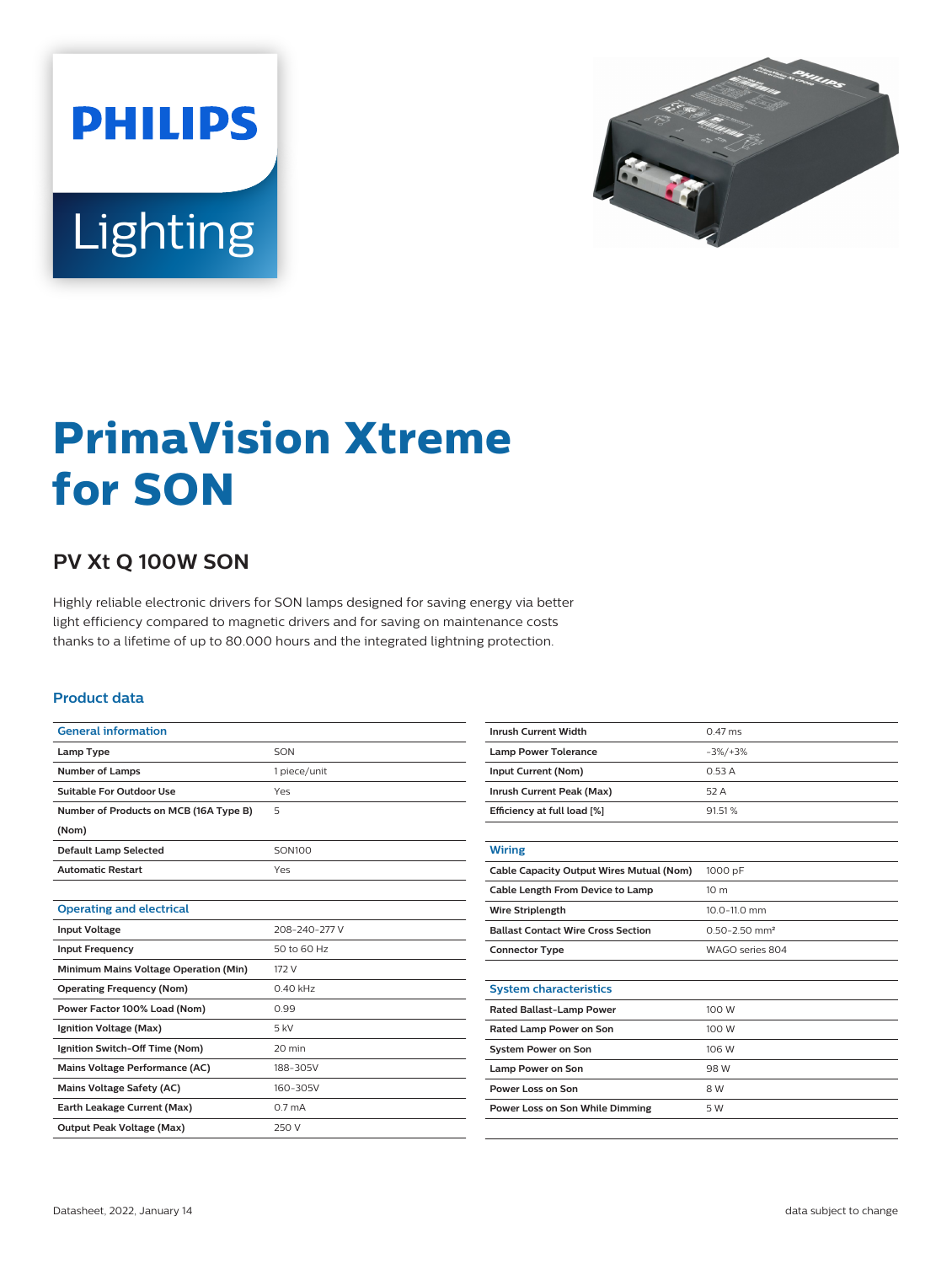



# **PrimaVision Xtreme for SON**

## **PV Xt Q 100W SON**

Highly reliable electronic drivers for SON lamps designed for saving energy via better light efficiency compared to magnetic drivers and for saving on maintenance costs thanks to a lifetime of up to 80.000 hours and the integrated lightning protection.

#### **Product data**

| <b>General information</b>             |                    |  |  |
|----------------------------------------|--------------------|--|--|
| Lamp Type                              | SON                |  |  |
| <b>Number of Lamps</b>                 | 1 piece/unit       |  |  |
| Suitable For Outdoor Use               | Yes                |  |  |
| Number of Products on MCB (16A Type B) | 5                  |  |  |
| (Nom)                                  |                    |  |  |
| <b>Default Lamp Selected</b>           | <b>SON100</b>      |  |  |
| <b>Automatic Restart</b>               | Yes                |  |  |
|                                        |                    |  |  |
| <b>Operating and electrical</b>        |                    |  |  |
| <b>Input Voltage</b>                   | 208-240-277 V      |  |  |
| <b>Input Frequency</b>                 | 50 to 60 Hz        |  |  |
| Minimum Mains Voltage Operation (Min)  | 172 V              |  |  |
| <b>Operating Frequency (Nom)</b>       | $0.40$ kHz         |  |  |
| Power Factor 100% Load (Nom)           | 0.99               |  |  |
| Ignition Voltage (Max)                 | $5$ kV             |  |  |
| Ignition Switch-Off Time (Nom)         | 20 min             |  |  |
| Mains Voltage Performance (AC)         | 188-305V           |  |  |
| <b>Mains Voltage Safety (AC)</b>       | 160-305V           |  |  |
| Earth Leakage Current (Max)            | 0.7 <sub>m</sub> A |  |  |
| <b>Output Peak Voltage (Max)</b>       | 250 V              |  |  |
|                                        |                    |  |  |

| <b>Inrush Current Width</b>               | $0.47$ ms                     |  |  |
|-------------------------------------------|-------------------------------|--|--|
| <b>Lamp Power Tolerance</b>               | $-3\%/+3\%$                   |  |  |
| Input Current (Nom)                       | 0.53A                         |  |  |
| Inrush Current Peak (Max)                 | 52 A                          |  |  |
| Efficiency at full load [%]               | 91.51%                        |  |  |
|                                           |                               |  |  |
| <b>Wiring</b>                             |                               |  |  |
| Cable Capacity Output Wires Mutual (Nom)  | 1000 pF                       |  |  |
| Cable Length From Device to Lamp          | 10 <sub>m</sub>               |  |  |
| <b>Wire Striplength</b>                   | 10.0-11.0 mm                  |  |  |
| <b>Ballast Contact Wire Cross Section</b> | $0.50 - 2.50$ mm <sup>2</sup> |  |  |
| <b>Connector Type</b>                     | WAGO series 804               |  |  |
|                                           |                               |  |  |
| <b>System characteristics</b>             |                               |  |  |
| <b>Rated Ballast-Lamp Power</b>           | 100 W                         |  |  |
| Rated Lamp Power on Son                   | 100 W                         |  |  |
| <b>System Power on Son</b>                | 106 W                         |  |  |
| Lamp Power on Son                         | 98 W                          |  |  |
| Power Loss on Son                         | 8 W                           |  |  |
| Power Loss on Son While Dimming           | 5 W                           |  |  |
|                                           |                               |  |  |
|                                           |                               |  |  |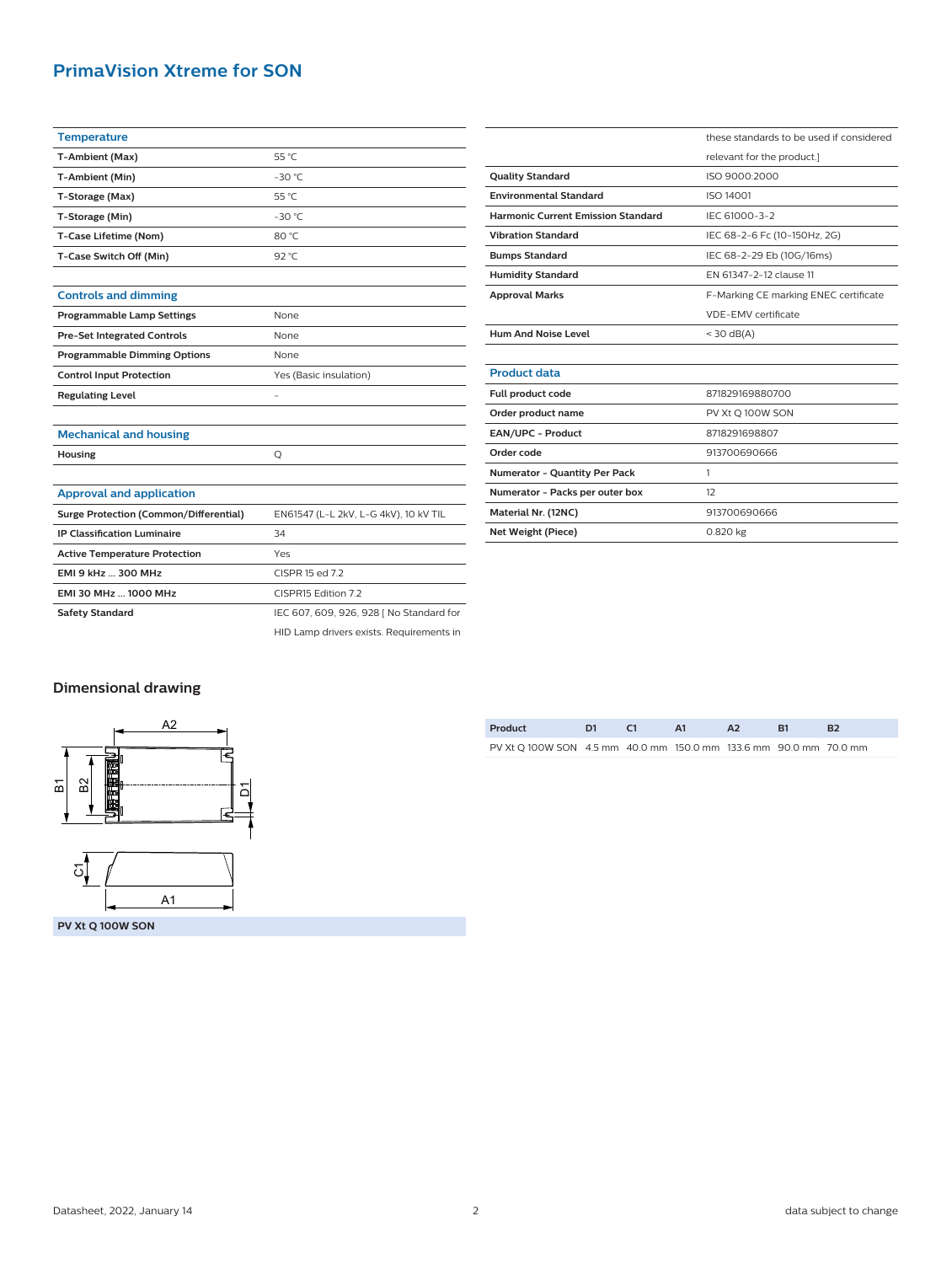### **PrimaVision Xtreme for SON**

| <b>Temperature</b>                            |                                          |  |  |  |
|-----------------------------------------------|------------------------------------------|--|--|--|
| T-Ambient (Max)                               | 55 °C                                    |  |  |  |
| T-Ambient (Min)                               | $-30 °C$                                 |  |  |  |
| T-Storage (Max)                               | 55 °C                                    |  |  |  |
| T-Storage (Min)                               | $-30$ °C                                 |  |  |  |
| T-Case Lifetime (Nom)                         | 80 °C                                    |  |  |  |
| T-Case Switch Off (Min)                       | 92 °C                                    |  |  |  |
|                                               |                                          |  |  |  |
| <b>Controls and dimming</b>                   |                                          |  |  |  |
| <b>Programmable Lamp Settings</b>             | None                                     |  |  |  |
| <b>Pre-Set Integrated Controls</b>            | None                                     |  |  |  |
| <b>Programmable Dimming Options</b>           | None                                     |  |  |  |
| <b>Control Input Protection</b>               | Yes (Basic insulation)                   |  |  |  |
| <b>Regulating Level</b>                       |                                          |  |  |  |
|                                               |                                          |  |  |  |
| <b>Mechanical and housing</b>                 |                                          |  |  |  |
| Housing                                       | Q                                        |  |  |  |
|                                               |                                          |  |  |  |
| <b>Approval and application</b>               |                                          |  |  |  |
| <b>Surge Protection (Common/Differential)</b> | EN61547 (L-L 2kV, L-G 4kV), 10 kV TIL    |  |  |  |
| <b>IP Classification Luminaire</b>            | 34                                       |  |  |  |
| <b>Active Temperature Protection</b>          | Yes                                      |  |  |  |
| EMI 9 kHz  300 MHz                            | CISPR 15 ed 7.2                          |  |  |  |
| EMI 30 MHz  1000 MHz                          | CISPR15 Edition 7.2                      |  |  |  |
| <b>Safety Standard</b>                        | IEC 607, 609, 926, 928   No Standard for |  |  |  |
|                                               | HID Lamp drivers exists. Requirements in |  |  |  |

|                                           | these standards to be used if considered |  |  |  |
|-------------------------------------------|------------------------------------------|--|--|--|
|                                           | relevant for the product.]               |  |  |  |
| <b>Quality Standard</b>                   | ISO 9000:2000                            |  |  |  |
| <b>Environmental Standard</b>             | <b>ISO 14001</b>                         |  |  |  |
| <b>Harmonic Current Emission Standard</b> | IEC 61000-3-2                            |  |  |  |
| <b>Vibration Standard</b>                 | IEC 68-2-6 Fc (10-150Hz, 2G)             |  |  |  |
| <b>Bumps Standard</b>                     | IEC 68-2-29 Eb (10G/16ms)                |  |  |  |
| <b>Humidity Standard</b>                  | FN 61347-2-12 clause 11                  |  |  |  |
| <b>Approval Marks</b>                     | F-Marking CE marking ENEC certificate    |  |  |  |
|                                           | VDE-EMV certificate                      |  |  |  |
| <b>Hum And Noise Level</b>                | $<$ 30 dB(A)                             |  |  |  |
|                                           |                                          |  |  |  |
| <b>Product data</b>                       |                                          |  |  |  |
| Full product code                         | 871829169880700                          |  |  |  |
| Order product name                        | PV Xt Q 100W SON                         |  |  |  |
| EAN/UPC - Product                         | 8718291698807                            |  |  |  |
| Order code                                | 913700690666                             |  |  |  |
| <b>Numerator - Quantity Per Pack</b>      | 1                                        |  |  |  |
| Numerator - Packs per outer box           | 12                                       |  |  |  |
| Material Nr. (12NC)                       | 913700690666                             |  |  |  |
| Net Weight (Piece)                        | 0.820 kg                                 |  |  |  |

#### **Dimensional drawing**



| Product                                                           | - 61 |  |  |
|-------------------------------------------------------------------|------|--|--|
| PV Xt O 100W SON 4.5 mm 40.0 mm 150.0 mm 133.6 mm 90.0 mm 70.0 mm |      |  |  |